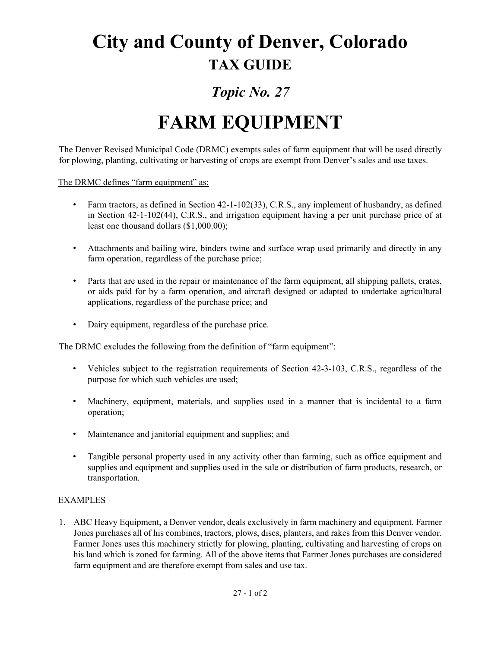## **City and County of Denver, Colorado TAX GUIDE**

## *Topic No. 27*

## **FARM EQUIPMENT**

The Denver Revised Municipal Code (DRMC) exempts sales of farm equipment that will be used directly for plowing, planting, cultivating or harvesting of crops are exempt from Denver's sales and use taxes.

The DRMC defines "farm equipment" as:

- Farm tractors, as defined in Section 42-1-102(33), C.R.S., any implement of husbandry, as defined in Section 42-1-102(44), C.R.S., and irrigation equipment having a per unit purchase price of at least one thousand dollars (\$1,000.00);
- Attachments and bailing wire, binders twine and surface wrap used primarily and directly in any farm operation, regardless of the purchase price;
- Parts that are used in the repair or maintenance of the farm equipment, all shipping pallets, crates, or aids paid for by a farm operation, and aircraft designed or adapted to undertake agricultural applications, regardless of the purchase price; and
- Dairy equipment, regardless of the purchase price.

The DRMC excludes the following from the definition of "farm equipment":

- Vehicles subject to the registration requirements of Section 42-3-103, C.R.S., regardless of the purpose for which such vehicles are used;
- Machinery, equipment, materials, and supplies used in a manner that is incidental to a farm operation;
- Maintenance and janitorial equipment and supplies; and
- Tangible personal property used in any activity other than farming, such as office equipment and supplies and equipment and supplies used in the sale or distribution of farm products, research, or transportation.

## EXAMPLES

1. ABC Heavy Equipment, a Denver vendor, deals exclusively in farm machinery and equipment. Farmer Jones purchases all of his combines, tractors, plows, discs, planters, and rakes from this Denver vendor. Farmer Jones uses this machinery strictly for plowing, planting, cultivating and harvesting of crops on his land which is zoned for farming. All of the above items that Farmer Jones purchases are considered farm equipment and are therefore exempt from sales and use tax.